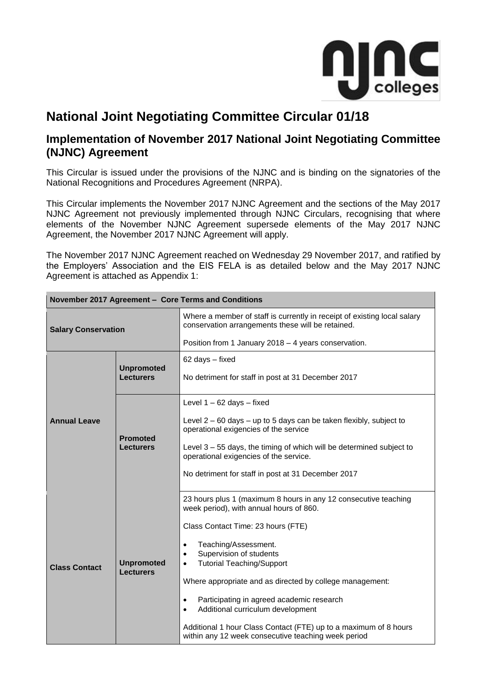

# **National Joint Negotiating Committee Circular 01/18**

## **Implementation of November 2017 National Joint Negotiating Committee (NJNC) Agreement**

This Circular is issued under the provisions of the NJNC and is binding on the signatories of the National Recognitions and Procedures Agreement (NRPA).

This Circular implements the November 2017 NJNC Agreement and the sections of the May 2017 NJNC Agreement not previously implemented through NJNC Circulars, recognising that where elements of the November NJNC Agreement supersede elements of the May 2017 NJNC Agreement, the November 2017 NJNC Agreement will apply.

The November 2017 NJNC Agreement reached on Wednesday 29 November 2017, and ratified by the Employers' Association and the EIS FELA is as detailed below and the May 2017 NJNC Agreement is attached as Appendix 1:

| November 2017 Agreement - Core Terms and Conditions |                                                                                                                                                                                                                                                                                                                                                                                                                                                                                                                                                                                                                            |                                                                                                                                                                                                                                                                                                                            |  |  |  |
|-----------------------------------------------------|----------------------------------------------------------------------------------------------------------------------------------------------------------------------------------------------------------------------------------------------------------------------------------------------------------------------------------------------------------------------------------------------------------------------------------------------------------------------------------------------------------------------------------------------------------------------------------------------------------------------------|----------------------------------------------------------------------------------------------------------------------------------------------------------------------------------------------------------------------------------------------------------------------------------------------------------------------------|--|--|--|
| <b>Salary Conservation</b>                          |                                                                                                                                                                                                                                                                                                                                                                                                                                                                                                                                                                                                                            | Where a member of staff is currently in receipt of existing local salary<br>conservation arrangements these will be retained.                                                                                                                                                                                              |  |  |  |
|                                                     |                                                                                                                                                                                                                                                                                                                                                                                                                                                                                                                                                                                                                            | Position from 1 January 2018 - 4 years conservation.                                                                                                                                                                                                                                                                       |  |  |  |
| <b>Annual Leave</b>                                 | <b>Unpromoted</b><br><b>Lecturers</b>                                                                                                                                                                                                                                                                                                                                                                                                                                                                                                                                                                                      | 62 days - fixed<br>No detriment for staff in post at 31 December 2017                                                                                                                                                                                                                                                      |  |  |  |
|                                                     | <b>Promoted</b><br>Lecturers                                                                                                                                                                                                                                                                                                                                                                                                                                                                                                                                                                                               | Level $1 - 62$ days $-$ fixed<br>Level $2 - 60$ days $-$ up to 5 days can be taken flexibly, subject to<br>operational exigencies of the service<br>Level $3 - 55$ days, the timing of which will be determined subject to<br>operational exigencies of the service.<br>No detriment for staff in post at 31 December 2017 |  |  |  |
| <b>Class Contact</b>                                | 23 hours plus 1 (maximum 8 hours in any 12 consecutive teaching<br>week period), with annual hours of 860.<br>Class Contact Time: 23 hours (FTE)<br>Teaching/Assessment.<br>$\bullet$<br>Supervision of students<br>$\bullet$<br><b>Tutorial Teaching/Support</b><br><b>Unpromoted</b><br>$\bullet$<br><b>Lecturers</b><br>Where appropriate and as directed by college management:<br>Participating in agreed academic research<br>$\bullet$<br>Additional curriculum development<br>$\bullet$<br>Additional 1 hour Class Contact (FTE) up to a maximum of 8 hours<br>within any 12 week consecutive teaching week period |                                                                                                                                                                                                                                                                                                                            |  |  |  |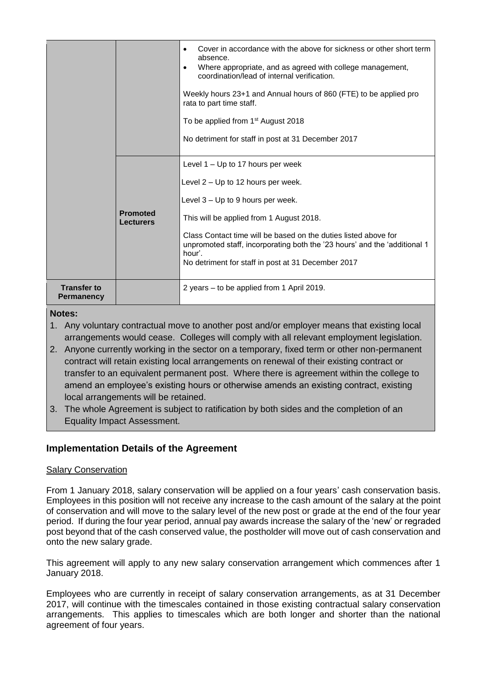|                                         |                                     | Cover in accordance with the above for sickness or other short term<br>$\bullet$<br>absence.<br>Where appropriate, and as agreed with college management,<br>$\bullet$<br>coordination/lead of internal verification.<br>Weekly hours 23+1 and Annual hours of 860 (FTE) to be applied pro<br>rata to part time staff.<br>To be applied from 1 <sup>st</sup> August 2018<br>No detriment for staff in post at 31 December 2017 |
|-----------------------------------------|-------------------------------------|--------------------------------------------------------------------------------------------------------------------------------------------------------------------------------------------------------------------------------------------------------------------------------------------------------------------------------------------------------------------------------------------------------------------------------|
|                                         | <b>Promoted</b><br><b>Lecturers</b> | Level 1 – Up to 17 hours per week<br>Level 2 - Up to 12 hours per week.<br>Level $3 - Up$ to 9 hours per week.<br>This will be applied from 1 August 2018.<br>Class Contact time will be based on the duties listed above for<br>unpromoted staff, incorporating both the '23 hours' and the 'additional 1<br>hour'.<br>No detriment for staff in post at 31 December 2017                                                     |
| <b>Transfer to</b><br><b>Permanency</b> |                                     | 2 years - to be applied from 1 April 2019.                                                                                                                                                                                                                                                                                                                                                                                     |

#### **Notes:**

- 1. Any voluntary contractual move to another post and/or employer means that existing local arrangements would cease. Colleges will comply with all relevant employment legislation.
- 2. Anyone currently working in the sector on a temporary, fixed term or other non-permanent contract will retain existing local arrangements on renewal of their existing contract or transfer to an equivalent permanent post. Where there is agreement within the college to amend an employee's existing hours or otherwise amends an existing contract, existing local arrangements will be retained.
- 3. The whole Agreement is subject to ratification by both sides and the completion of an Equality Impact Assessment.

## **Implementation Details of the Agreement**

### Salary Conservation

From 1 January 2018, salary conservation will be applied on a four years' cash conservation basis. Employees in this position will not receive any increase to the cash amount of the salary at the point of conservation and will move to the salary level of the new post or grade at the end of the four year period. If during the four year period, annual pay awards increase the salary of the 'new' or regraded post beyond that of the cash conserved value, the postholder will move out of cash conservation and onto the new salary grade.

This agreement will apply to any new salary conservation arrangement which commences after 1 January 2018.

Employees who are currently in receipt of salary conservation arrangements, as at 31 December 2017, will continue with the timescales contained in those existing contractual salary conservation arrangements. This applies to timescales which are both longer and shorter than the national agreement of four years.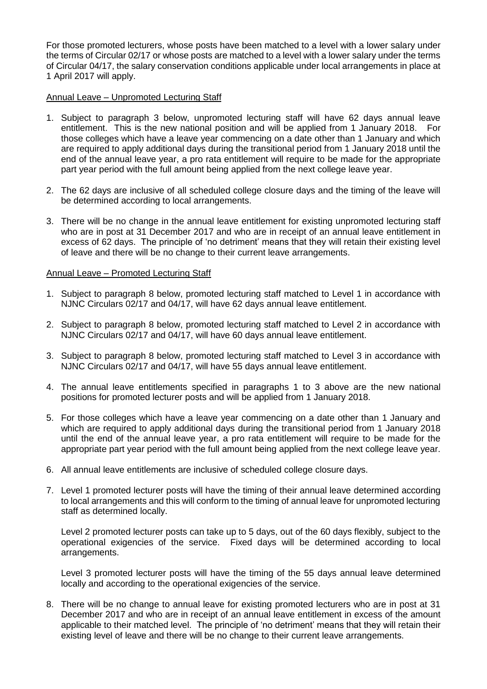For those promoted lecturers, whose posts have been matched to a level with a lower salary under the terms of Circular 02/17 or whose posts are matched to a level with a lower salary under the terms of Circular 04/17, the salary conservation conditions applicable under local arrangements in place at 1 April 2017 will apply.

#### Annual Leave – Unpromoted Lecturing Staff

- 1. Subject to paragraph 3 below, unpromoted lecturing staff will have 62 days annual leave entitlement. This is the new national position and will be applied from 1 January 2018. For those colleges which have a leave year commencing on a date other than 1 January and which are required to apply additional days during the transitional period from 1 January 2018 until the end of the annual leave year, a pro rata entitlement will require to be made for the appropriate part year period with the full amount being applied from the next college leave year.
- 2. The 62 days are inclusive of all scheduled college closure days and the timing of the leave will be determined according to local arrangements.
- 3. There will be no change in the annual leave entitlement for existing unpromoted lecturing staff who are in post at 31 December 2017 and who are in receipt of an annual leave entitlement in excess of 62 days. The principle of 'no detriment' means that they will retain their existing level of leave and there will be no change to their current leave arrangements.

#### Annual Leave – Promoted Lecturing Staff

- 1. Subject to paragraph 8 below, promoted lecturing staff matched to Level 1 in accordance with NJNC Circulars 02/17 and 04/17, will have 62 days annual leave entitlement.
- 2. Subject to paragraph 8 below, promoted lecturing staff matched to Level 2 in accordance with NJNC Circulars 02/17 and 04/17, will have 60 days annual leave entitlement.
- 3. Subject to paragraph 8 below, promoted lecturing staff matched to Level 3 in accordance with NJNC Circulars 02/17 and 04/17, will have 55 days annual leave entitlement.
- 4. The annual leave entitlements specified in paragraphs 1 to 3 above are the new national positions for promoted lecturer posts and will be applied from 1 January 2018.
- 5. For those colleges which have a leave year commencing on a date other than 1 January and which are required to apply additional days during the transitional period from 1 January 2018 until the end of the annual leave year, a pro rata entitlement will require to be made for the appropriate part year period with the full amount being applied from the next college leave year.
- 6. All annual leave entitlements are inclusive of scheduled college closure days.
- 7. Level 1 promoted lecturer posts will have the timing of their annual leave determined according to local arrangements and this will conform to the timing of annual leave for unpromoted lecturing staff as determined locally.

Level 2 promoted lecturer posts can take up to 5 days, out of the 60 days flexibly, subject to the operational exigencies of the service. Fixed days will be determined according to local arrangements.

Level 3 promoted lecturer posts will have the timing of the 55 days annual leave determined locally and according to the operational exigencies of the service.

8. There will be no change to annual leave for existing promoted lecturers who are in post at 31 December 2017 and who are in receipt of an annual leave entitlement in excess of the amount applicable to their matched level. The principle of 'no detriment' means that they will retain their existing level of leave and there will be no change to their current leave arrangements.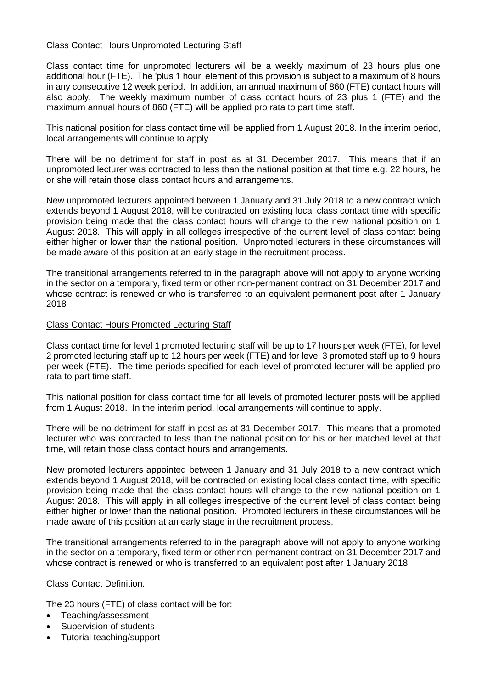#### Class Contact Hours Unpromoted Lecturing Staff

Class contact time for unpromoted lecturers will be a weekly maximum of 23 hours plus one additional hour (FTE). The 'plus 1 hour' element of this provision is subject to a maximum of 8 hours in any consecutive 12 week period. In addition, an annual maximum of 860 (FTE) contact hours will also apply. The weekly maximum number of class contact hours of 23 plus 1 (FTE) and the maximum annual hours of 860 (FTE) will be applied pro rata to part time staff.

This national position for class contact time will be applied from 1 August 2018. In the interim period, local arrangements will continue to apply.

There will be no detriment for staff in post as at 31 December 2017. This means that if an unpromoted lecturer was contracted to less than the national position at that time e.g. 22 hours, he or she will retain those class contact hours and arrangements.

New unpromoted lecturers appointed between 1 January and 31 July 2018 to a new contract which extends beyond 1 August 2018, will be contracted on existing local class contact time with specific provision being made that the class contact hours will change to the new national position on 1 August 2018. This will apply in all colleges irrespective of the current level of class contact being either higher or lower than the national position. Unpromoted lecturers in these circumstances will be made aware of this position at an early stage in the recruitment process.

The transitional arrangements referred to in the paragraph above will not apply to anyone working in the sector on a temporary, fixed term or other non-permanent contract on 31 December 2017 and whose contract is renewed or who is transferred to an equivalent permanent post after 1 January 2018

#### Class Contact Hours Promoted Lecturing Staff

Class contact time for level 1 promoted lecturing staff will be up to 17 hours per week (FTE), for level 2 promoted lecturing staff up to 12 hours per week (FTE) and for level 3 promoted staff up to 9 hours per week (FTE). The time periods specified for each level of promoted lecturer will be applied pro rata to part time staff.

This national position for class contact time for all levels of promoted lecturer posts will be applied from 1 August 2018. In the interim period, local arrangements will continue to apply.

There will be no detriment for staff in post as at 31 December 2017. This means that a promoted lecturer who was contracted to less than the national position for his or her matched level at that time, will retain those class contact hours and arrangements.

New promoted lecturers appointed between 1 January and 31 July 2018 to a new contract which extends beyond 1 August 2018, will be contracted on existing local class contact time, with specific provision being made that the class contact hours will change to the new national position on 1 August 2018. This will apply in all colleges irrespective of the current level of class contact being either higher or lower than the national position. Promoted lecturers in these circumstances will be made aware of this position at an early stage in the recruitment process.

The transitional arrangements referred to in the paragraph above will not apply to anyone working in the sector on a temporary, fixed term or other non-permanent contract on 31 December 2017 and whose contract is renewed or who is transferred to an equivalent post after 1 January 2018.

#### Class Contact Definition.

The 23 hours (FTE) of class contact will be for:

- Teaching/assessment
- Supervision of students
- Tutorial teaching/support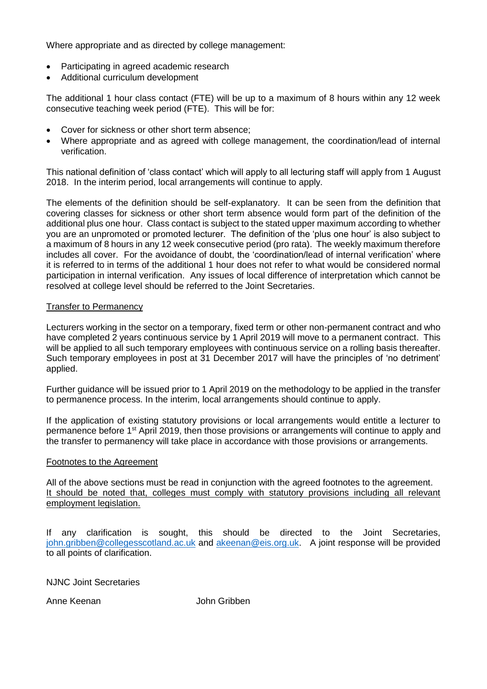Where appropriate and as directed by college management:

- Participating in agreed academic research
- Additional curriculum development

The additional 1 hour class contact (FTE) will be up to a maximum of 8 hours within any 12 week consecutive teaching week period (FTE). This will be for:

- Cover for sickness or other short term absence;
- Where appropriate and as agreed with college management, the coordination/lead of internal verification.

This national definition of 'class contact' which will apply to all lecturing staff will apply from 1 August 2018. In the interim period, local arrangements will continue to apply.

The elements of the definition should be self-explanatory. It can be seen from the definition that covering classes for sickness or other short term absence would form part of the definition of the additional plus one hour. Class contact is subject to the stated upper maximum according to whether you are an unpromoted or promoted lecturer. The definition of the 'plus one hour' is also subject to a maximum of 8 hours in any 12 week consecutive period (pro rata). The weekly maximum therefore includes all cover. For the avoidance of doubt, the 'coordination/lead of internal verification' where it is referred to in terms of the additional 1 hour does not refer to what would be considered normal participation in internal verification. Any issues of local difference of interpretation which cannot be resolved at college level should be referred to the Joint Secretaries.

#### Transfer to Permanency

Lecturers working in the sector on a temporary, fixed term or other non-permanent contract and who have completed 2 years continuous service by 1 April 2019 will move to a permanent contract. This will be applied to all such temporary employees with continuous service on a rolling basis thereafter. Such temporary employees in post at 31 December 2017 will have the principles of 'no detriment' applied.

Further guidance will be issued prior to 1 April 2019 on the methodology to be applied in the transfer to permanence process. In the interim, local arrangements should continue to apply.

If the application of existing statutory provisions or local arrangements would entitle a lecturer to permanence before 1<sup>st</sup> April 2019, then those provisions or arrangements will continue to apply and the transfer to permanency will take place in accordance with those provisions or arrangements.

#### Footnotes to the Agreement

All of the above sections must be read in conjunction with the agreed footnotes to the agreement. It should be noted that, colleges must comply with statutory provisions including all relevant employment legislation.

If any clarification is sought, this should be directed to the Joint Secretaries, [john.gribben@collegesscotland.ac.uk](mailto:john.gribben@collegesscotland.ac.uk) and [akeenan@eis.org.uk.](mailto:akeenan@eis.org.uk) A joint response will be provided to all points of clarification.

NJNC Joint Secretaries

Anne Keenan John Gribben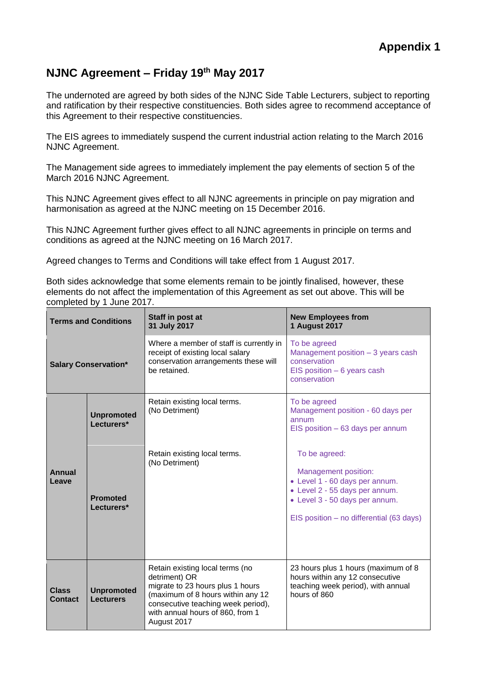## **NJNC Agreement – Friday 19th May 2017**

The undernoted are agreed by both sides of the NJNC Side Table Lecturers, subject to reporting and ratification by their respective constituencies. Both sides agree to recommend acceptance of this Agreement to their respective constituencies.

The EIS agrees to immediately suspend the current industrial action relating to the March 2016 NJNC Agreement.

The Management side agrees to immediately implement the pay elements of section 5 of the March 2016 NJNC Agreement.

This NJNC Agreement gives effect to all NJNC agreements in principle on pay migration and harmonisation as agreed at the NJNC meeting on 15 December 2016.

This NJNC Agreement further gives effect to all NJNC agreements in principle on terms and conditions as agreed at the NJNC meeting on 16 March 2017.

Agreed changes to Terms and Conditions will take effect from 1 August 2017.

Both sides acknowledge that some elements remain to be jointly finalised, however, these elements do not affect the implementation of this Agreement as set out above. This will be completed by 1 June 2017.

| <b>Terms and Conditions</b>    |                                       | Staff in post at<br>31 July 2017                                                                                                                                                                                   | <b>New Employees from</b><br><b>1 August 2017</b>                                                                                                                                       |  |
|--------------------------------|---------------------------------------|--------------------------------------------------------------------------------------------------------------------------------------------------------------------------------------------------------------------|-----------------------------------------------------------------------------------------------------------------------------------------------------------------------------------------|--|
| <b>Salary Conservation*</b>    |                                       | Where a member of staff is currently in<br>receipt of existing local salary<br>conservation arrangements these will<br>be retained.                                                                                | To be agreed<br>Management position - 3 years cash<br>conservation<br>EIS position $-6$ years cash<br>conservation                                                                      |  |
| <b>Annual</b><br>Leave         | <b>Unpromoted</b><br>Lecturers*       | Retain existing local terms.<br>(No Detriment)                                                                                                                                                                     | To be agreed<br>Management position - 60 days per<br>annum<br>$EIS$ position $-63$ days per annum                                                                                       |  |
|                                | <b>Promoted</b><br>Lecturers*         | Retain existing local terms.<br>(No Detriment)                                                                                                                                                                     | To be agreed:<br>Management position:<br>• Level 1 - 60 days per annum.<br>• Level 2 - 55 days per annum.<br>• Level 3 - 50 days per annum.<br>EIS position - no differential (63 days) |  |
| <b>Class</b><br><b>Contact</b> | <b>Unpromoted</b><br><b>Lecturers</b> | Retain existing local terms (no<br>detriment) OR<br>migrate to 23 hours plus 1 hours<br>(maximum of 8 hours within any 12<br>consecutive teaching week period),<br>with annual hours of 860, from 1<br>August 2017 | 23 hours plus 1 hours (maximum of 8<br>hours within any 12 consecutive<br>teaching week period), with annual<br>hours of 860                                                            |  |